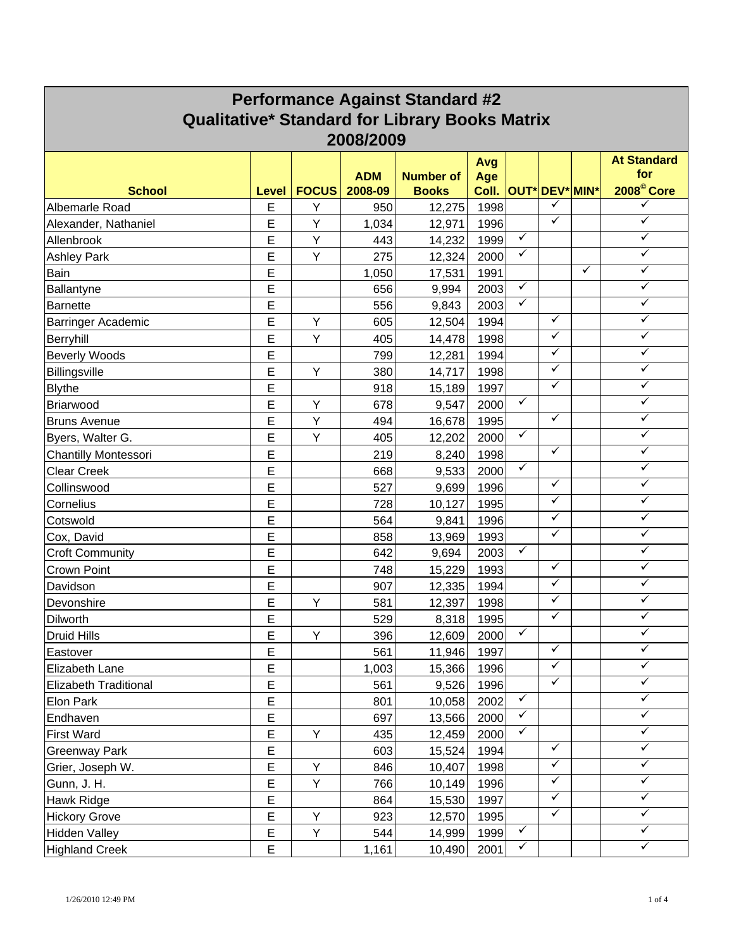| <b>Qualitative* Standard for Library Books Matrix</b><br>2008/2009<br><b>At Standard</b><br>Avg<br>for<br><b>ADM</b><br><b>Number of</b><br>Age<br>2008 <sup>©</sup> Core<br><b>OUT* DEV* MIN*</b><br><b>School</b><br><b>FOCUS</b><br>2008-09<br><b>Books</b><br>Coll.<br>Level<br>✓<br>✓<br>1998<br>E<br>Y<br>Albemarle Road<br>12,275<br>950<br>✓<br>$\checkmark$<br>E<br>Υ<br>1996<br>1,034<br>Alexander, Nathaniel<br>12,971<br>$\checkmark$<br>✓<br>E<br>Υ<br>1999<br>Allenbrook<br>443<br>14,232<br>✓<br>✓<br>Ε<br>Y<br>2000<br><b>Ashley Park</b><br>275<br>12,324<br>✓<br>$\checkmark$<br>Е<br>1,050<br>1991<br>Bain<br>17,531<br>✓<br>E<br>✓<br>656<br>2003<br>Ballantyne<br>9,994<br>✓<br>✓<br>Ε<br>2003<br>556<br><b>Barnette</b><br>9,843<br>✓<br>✓<br>E<br>Υ<br>1994<br>Barringer Academic<br>605<br>12,504<br>$\checkmark$<br>✓<br>E<br>Y<br>1998<br>405<br>14,478<br>Berryhill<br>✓<br>✓<br><b>Beverly Woods</b><br>Е<br>799<br>1994<br>12,281<br>✓<br>✓<br>E<br>Y<br>Billingsville<br>380<br>1998<br>14,717<br>✓<br>✓<br>E<br>918<br>1997<br><b>Blythe</b><br>15,189<br>$\checkmark$<br>✓<br>E<br>678<br>2000<br>Briarwood<br>Υ<br>9,547<br>✓<br>✓<br>E<br>Υ<br>494<br>16,678<br>1995<br><b>Bruns Avenue</b><br>✓<br>✓<br>E<br>Y<br>2000<br>12,202<br>Byers, Walter G.<br>405<br>✓<br>✓<br>Ε<br>1998<br>219<br><b>Chantilly Montessori</b><br>8,240<br>✓<br>$\checkmark$<br>Ε<br>2000<br><b>Clear Creek</b><br>668<br>9,533<br>✓<br>✓<br>E<br>527<br>1996<br>Collinswood<br>9,699<br>✓<br>✓<br>E<br>1995<br>728<br>Cornelius<br>10,127<br>✓<br>✓<br>E<br>564<br>1996<br>Cotswold<br>9,841<br>✓<br>✓<br>E<br>858<br>1993<br>Cox, David<br>13,969<br>$\checkmark$<br>✓<br>E<br>2003<br>642<br><b>Croft Community</b><br>9,694<br>$\checkmark$<br>✓<br>E<br>Crown Point<br>1993<br>748<br>15,229<br>✓<br>✓<br>Ε<br>907<br>1994<br>Davidson<br>12,335<br>✓<br>✓<br>Е<br>Υ<br>12,397<br>1998<br>Devonshire<br>581<br>✓<br>✓<br>E<br>529<br>Dilworth<br>8,318<br>1995<br>$\checkmark$<br>$\checkmark$<br>Y<br>396<br>2000<br><b>Druid Hills</b><br>Е<br>12,609<br>✓<br>✓<br>561<br>Ε<br>11,946<br>1997<br>Eastover<br>$\checkmark$<br>✓<br>Е<br>1,003<br>15,366<br>1996<br>Elizabeth Lane<br>$\checkmark$<br>$\checkmark$<br>E<br>561<br>9,526<br>1996<br><b>Elizabeth Traditional</b><br>$\checkmark$<br>$\checkmark$<br>E<br>801<br>10,058<br>2002<br>Elon Park<br>✓<br>✓<br>E<br>697<br>13,566<br>2000<br>Endhaven<br>$\checkmark$<br>$\checkmark$<br>E<br>Υ<br>435<br>2000<br><b>First Ward</b><br>12,459<br>$\checkmark$<br>✓<br>E<br>603<br>15,524<br>Greenway Park<br>1994<br>✓<br>✓<br>Ε<br>Υ<br>Grier, Joseph W.<br>846<br>10,407<br>1998<br>$\checkmark$<br>$\checkmark$<br>Ε<br>Υ<br>766<br>10,149<br>1996<br>Gunn, J. H.<br>$\overline{E}$<br>$\checkmark$<br>✓<br>864<br>1997<br>Hawk Ridge<br>15,530<br>✓<br>$\checkmark$<br>E<br>Υ<br>923<br>12,570<br>1995<br><b>Hickory Grove</b><br>$\checkmark$<br>$\checkmark$<br>E<br>Υ<br>14,999<br>1999<br><b>Hidden Valley</b><br>544<br>$\checkmark$<br>$\checkmark$ | <b>Performance Against Standard #2</b> |   |  |       |        |      |  |  |  |  |  |
|------------------------------------------------------------------------------------------------------------------------------------------------------------------------------------------------------------------------------------------------------------------------------------------------------------------------------------------------------------------------------------------------------------------------------------------------------------------------------------------------------------------------------------------------------------------------------------------------------------------------------------------------------------------------------------------------------------------------------------------------------------------------------------------------------------------------------------------------------------------------------------------------------------------------------------------------------------------------------------------------------------------------------------------------------------------------------------------------------------------------------------------------------------------------------------------------------------------------------------------------------------------------------------------------------------------------------------------------------------------------------------------------------------------------------------------------------------------------------------------------------------------------------------------------------------------------------------------------------------------------------------------------------------------------------------------------------------------------------------------------------------------------------------------------------------------------------------------------------------------------------------------------------------------------------------------------------------------------------------------------------------------------------------------------------------------------------------------------------------------------------------------------------------------------------------------------------------------------------------------------------------------------------------------------------------------------------------------------------------------------------------------------------------------------------------------------------------------------------------------------------------------------------------------------------------------------------------------------------------------------------------------------------------------------------------------------------------------------------------------------------------------------------------------------------------------------------------------------------------------------------------------------------------------------------------------------------------------------------------------------------------------------------------------|----------------------------------------|---|--|-------|--------|------|--|--|--|--|--|
|                                                                                                                                                                                                                                                                                                                                                                                                                                                                                                                                                                                                                                                                                                                                                                                                                                                                                                                                                                                                                                                                                                                                                                                                                                                                                                                                                                                                                                                                                                                                                                                                                                                                                                                                                                                                                                                                                                                                                                                                                                                                                                                                                                                                                                                                                                                                                                                                                                                                                                                                                                                                                                                                                                                                                                                                                                                                                                                                                                                                                                          |                                        |   |  |       |        |      |  |  |  |  |  |
|                                                                                                                                                                                                                                                                                                                                                                                                                                                                                                                                                                                                                                                                                                                                                                                                                                                                                                                                                                                                                                                                                                                                                                                                                                                                                                                                                                                                                                                                                                                                                                                                                                                                                                                                                                                                                                                                                                                                                                                                                                                                                                                                                                                                                                                                                                                                                                                                                                                                                                                                                                                                                                                                                                                                                                                                                                                                                                                                                                                                                                          |                                        |   |  |       |        |      |  |  |  |  |  |
|                                                                                                                                                                                                                                                                                                                                                                                                                                                                                                                                                                                                                                                                                                                                                                                                                                                                                                                                                                                                                                                                                                                                                                                                                                                                                                                                                                                                                                                                                                                                                                                                                                                                                                                                                                                                                                                                                                                                                                                                                                                                                                                                                                                                                                                                                                                                                                                                                                                                                                                                                                                                                                                                                                                                                                                                                                                                                                                                                                                                                                          |                                        |   |  |       |        |      |  |  |  |  |  |
|                                                                                                                                                                                                                                                                                                                                                                                                                                                                                                                                                                                                                                                                                                                                                                                                                                                                                                                                                                                                                                                                                                                                                                                                                                                                                                                                                                                                                                                                                                                                                                                                                                                                                                                                                                                                                                                                                                                                                                                                                                                                                                                                                                                                                                                                                                                                                                                                                                                                                                                                                                                                                                                                                                                                                                                                                                                                                                                                                                                                                                          |                                        |   |  |       |        |      |  |  |  |  |  |
|                                                                                                                                                                                                                                                                                                                                                                                                                                                                                                                                                                                                                                                                                                                                                                                                                                                                                                                                                                                                                                                                                                                                                                                                                                                                                                                                                                                                                                                                                                                                                                                                                                                                                                                                                                                                                                                                                                                                                                                                                                                                                                                                                                                                                                                                                                                                                                                                                                                                                                                                                                                                                                                                                                                                                                                                                                                                                                                                                                                                                                          |                                        |   |  |       |        |      |  |  |  |  |  |
|                                                                                                                                                                                                                                                                                                                                                                                                                                                                                                                                                                                                                                                                                                                                                                                                                                                                                                                                                                                                                                                                                                                                                                                                                                                                                                                                                                                                                                                                                                                                                                                                                                                                                                                                                                                                                                                                                                                                                                                                                                                                                                                                                                                                                                                                                                                                                                                                                                                                                                                                                                                                                                                                                                                                                                                                                                                                                                                                                                                                                                          |                                        |   |  |       |        |      |  |  |  |  |  |
|                                                                                                                                                                                                                                                                                                                                                                                                                                                                                                                                                                                                                                                                                                                                                                                                                                                                                                                                                                                                                                                                                                                                                                                                                                                                                                                                                                                                                                                                                                                                                                                                                                                                                                                                                                                                                                                                                                                                                                                                                                                                                                                                                                                                                                                                                                                                                                                                                                                                                                                                                                                                                                                                                                                                                                                                                                                                                                                                                                                                                                          |                                        |   |  |       |        |      |  |  |  |  |  |
|                                                                                                                                                                                                                                                                                                                                                                                                                                                                                                                                                                                                                                                                                                                                                                                                                                                                                                                                                                                                                                                                                                                                                                                                                                                                                                                                                                                                                                                                                                                                                                                                                                                                                                                                                                                                                                                                                                                                                                                                                                                                                                                                                                                                                                                                                                                                                                                                                                                                                                                                                                                                                                                                                                                                                                                                                                                                                                                                                                                                                                          |                                        |   |  |       |        |      |  |  |  |  |  |
|                                                                                                                                                                                                                                                                                                                                                                                                                                                                                                                                                                                                                                                                                                                                                                                                                                                                                                                                                                                                                                                                                                                                                                                                                                                                                                                                                                                                                                                                                                                                                                                                                                                                                                                                                                                                                                                                                                                                                                                                                                                                                                                                                                                                                                                                                                                                                                                                                                                                                                                                                                                                                                                                                                                                                                                                                                                                                                                                                                                                                                          |                                        |   |  |       |        |      |  |  |  |  |  |
|                                                                                                                                                                                                                                                                                                                                                                                                                                                                                                                                                                                                                                                                                                                                                                                                                                                                                                                                                                                                                                                                                                                                                                                                                                                                                                                                                                                                                                                                                                                                                                                                                                                                                                                                                                                                                                                                                                                                                                                                                                                                                                                                                                                                                                                                                                                                                                                                                                                                                                                                                                                                                                                                                                                                                                                                                                                                                                                                                                                                                                          |                                        |   |  |       |        |      |  |  |  |  |  |
|                                                                                                                                                                                                                                                                                                                                                                                                                                                                                                                                                                                                                                                                                                                                                                                                                                                                                                                                                                                                                                                                                                                                                                                                                                                                                                                                                                                                                                                                                                                                                                                                                                                                                                                                                                                                                                                                                                                                                                                                                                                                                                                                                                                                                                                                                                                                                                                                                                                                                                                                                                                                                                                                                                                                                                                                                                                                                                                                                                                                                                          |                                        |   |  |       |        |      |  |  |  |  |  |
|                                                                                                                                                                                                                                                                                                                                                                                                                                                                                                                                                                                                                                                                                                                                                                                                                                                                                                                                                                                                                                                                                                                                                                                                                                                                                                                                                                                                                                                                                                                                                                                                                                                                                                                                                                                                                                                                                                                                                                                                                                                                                                                                                                                                                                                                                                                                                                                                                                                                                                                                                                                                                                                                                                                                                                                                                                                                                                                                                                                                                                          |                                        |   |  |       |        |      |  |  |  |  |  |
|                                                                                                                                                                                                                                                                                                                                                                                                                                                                                                                                                                                                                                                                                                                                                                                                                                                                                                                                                                                                                                                                                                                                                                                                                                                                                                                                                                                                                                                                                                                                                                                                                                                                                                                                                                                                                                                                                                                                                                                                                                                                                                                                                                                                                                                                                                                                                                                                                                                                                                                                                                                                                                                                                                                                                                                                                                                                                                                                                                                                                                          |                                        |   |  |       |        |      |  |  |  |  |  |
|                                                                                                                                                                                                                                                                                                                                                                                                                                                                                                                                                                                                                                                                                                                                                                                                                                                                                                                                                                                                                                                                                                                                                                                                                                                                                                                                                                                                                                                                                                                                                                                                                                                                                                                                                                                                                                                                                                                                                                                                                                                                                                                                                                                                                                                                                                                                                                                                                                                                                                                                                                                                                                                                                                                                                                                                                                                                                                                                                                                                                                          |                                        |   |  |       |        |      |  |  |  |  |  |
|                                                                                                                                                                                                                                                                                                                                                                                                                                                                                                                                                                                                                                                                                                                                                                                                                                                                                                                                                                                                                                                                                                                                                                                                                                                                                                                                                                                                                                                                                                                                                                                                                                                                                                                                                                                                                                                                                                                                                                                                                                                                                                                                                                                                                                                                                                                                                                                                                                                                                                                                                                                                                                                                                                                                                                                                                                                                                                                                                                                                                                          |                                        |   |  |       |        |      |  |  |  |  |  |
|                                                                                                                                                                                                                                                                                                                                                                                                                                                                                                                                                                                                                                                                                                                                                                                                                                                                                                                                                                                                                                                                                                                                                                                                                                                                                                                                                                                                                                                                                                                                                                                                                                                                                                                                                                                                                                                                                                                                                                                                                                                                                                                                                                                                                                                                                                                                                                                                                                                                                                                                                                                                                                                                                                                                                                                                                                                                                                                                                                                                                                          |                                        |   |  |       |        |      |  |  |  |  |  |
|                                                                                                                                                                                                                                                                                                                                                                                                                                                                                                                                                                                                                                                                                                                                                                                                                                                                                                                                                                                                                                                                                                                                                                                                                                                                                                                                                                                                                                                                                                                                                                                                                                                                                                                                                                                                                                                                                                                                                                                                                                                                                                                                                                                                                                                                                                                                                                                                                                                                                                                                                                                                                                                                                                                                                                                                                                                                                                                                                                                                                                          |                                        |   |  |       |        |      |  |  |  |  |  |
|                                                                                                                                                                                                                                                                                                                                                                                                                                                                                                                                                                                                                                                                                                                                                                                                                                                                                                                                                                                                                                                                                                                                                                                                                                                                                                                                                                                                                                                                                                                                                                                                                                                                                                                                                                                                                                                                                                                                                                                                                                                                                                                                                                                                                                                                                                                                                                                                                                                                                                                                                                                                                                                                                                                                                                                                                                                                                                                                                                                                                                          |                                        |   |  |       |        |      |  |  |  |  |  |
|                                                                                                                                                                                                                                                                                                                                                                                                                                                                                                                                                                                                                                                                                                                                                                                                                                                                                                                                                                                                                                                                                                                                                                                                                                                                                                                                                                                                                                                                                                                                                                                                                                                                                                                                                                                                                                                                                                                                                                                                                                                                                                                                                                                                                                                                                                                                                                                                                                                                                                                                                                                                                                                                                                                                                                                                                                                                                                                                                                                                                                          |                                        |   |  |       |        |      |  |  |  |  |  |
|                                                                                                                                                                                                                                                                                                                                                                                                                                                                                                                                                                                                                                                                                                                                                                                                                                                                                                                                                                                                                                                                                                                                                                                                                                                                                                                                                                                                                                                                                                                                                                                                                                                                                                                                                                                                                                                                                                                                                                                                                                                                                                                                                                                                                                                                                                                                                                                                                                                                                                                                                                                                                                                                                                                                                                                                                                                                                                                                                                                                                                          |                                        |   |  |       |        |      |  |  |  |  |  |
|                                                                                                                                                                                                                                                                                                                                                                                                                                                                                                                                                                                                                                                                                                                                                                                                                                                                                                                                                                                                                                                                                                                                                                                                                                                                                                                                                                                                                                                                                                                                                                                                                                                                                                                                                                                                                                                                                                                                                                                                                                                                                                                                                                                                                                                                                                                                                                                                                                                                                                                                                                                                                                                                                                                                                                                                                                                                                                                                                                                                                                          |                                        |   |  |       |        |      |  |  |  |  |  |
|                                                                                                                                                                                                                                                                                                                                                                                                                                                                                                                                                                                                                                                                                                                                                                                                                                                                                                                                                                                                                                                                                                                                                                                                                                                                                                                                                                                                                                                                                                                                                                                                                                                                                                                                                                                                                                                                                                                                                                                                                                                                                                                                                                                                                                                                                                                                                                                                                                                                                                                                                                                                                                                                                                                                                                                                                                                                                                                                                                                                                                          |                                        |   |  |       |        |      |  |  |  |  |  |
|                                                                                                                                                                                                                                                                                                                                                                                                                                                                                                                                                                                                                                                                                                                                                                                                                                                                                                                                                                                                                                                                                                                                                                                                                                                                                                                                                                                                                                                                                                                                                                                                                                                                                                                                                                                                                                                                                                                                                                                                                                                                                                                                                                                                                                                                                                                                                                                                                                                                                                                                                                                                                                                                                                                                                                                                                                                                                                                                                                                                                                          |                                        |   |  |       |        |      |  |  |  |  |  |
|                                                                                                                                                                                                                                                                                                                                                                                                                                                                                                                                                                                                                                                                                                                                                                                                                                                                                                                                                                                                                                                                                                                                                                                                                                                                                                                                                                                                                                                                                                                                                                                                                                                                                                                                                                                                                                                                                                                                                                                                                                                                                                                                                                                                                                                                                                                                                                                                                                                                                                                                                                                                                                                                                                                                                                                                                                                                                                                                                                                                                                          |                                        |   |  |       |        |      |  |  |  |  |  |
|                                                                                                                                                                                                                                                                                                                                                                                                                                                                                                                                                                                                                                                                                                                                                                                                                                                                                                                                                                                                                                                                                                                                                                                                                                                                                                                                                                                                                                                                                                                                                                                                                                                                                                                                                                                                                                                                                                                                                                                                                                                                                                                                                                                                                                                                                                                                                                                                                                                                                                                                                                                                                                                                                                                                                                                                                                                                                                                                                                                                                                          |                                        |   |  |       |        |      |  |  |  |  |  |
|                                                                                                                                                                                                                                                                                                                                                                                                                                                                                                                                                                                                                                                                                                                                                                                                                                                                                                                                                                                                                                                                                                                                                                                                                                                                                                                                                                                                                                                                                                                                                                                                                                                                                                                                                                                                                                                                                                                                                                                                                                                                                                                                                                                                                                                                                                                                                                                                                                                                                                                                                                                                                                                                                                                                                                                                                                                                                                                                                                                                                                          |                                        |   |  |       |        |      |  |  |  |  |  |
|                                                                                                                                                                                                                                                                                                                                                                                                                                                                                                                                                                                                                                                                                                                                                                                                                                                                                                                                                                                                                                                                                                                                                                                                                                                                                                                                                                                                                                                                                                                                                                                                                                                                                                                                                                                                                                                                                                                                                                                                                                                                                                                                                                                                                                                                                                                                                                                                                                                                                                                                                                                                                                                                                                                                                                                                                                                                                                                                                                                                                                          |                                        |   |  |       |        |      |  |  |  |  |  |
|                                                                                                                                                                                                                                                                                                                                                                                                                                                                                                                                                                                                                                                                                                                                                                                                                                                                                                                                                                                                                                                                                                                                                                                                                                                                                                                                                                                                                                                                                                                                                                                                                                                                                                                                                                                                                                                                                                                                                                                                                                                                                                                                                                                                                                                                                                                                                                                                                                                                                                                                                                                                                                                                                                                                                                                                                                                                                                                                                                                                                                          |                                        |   |  |       |        |      |  |  |  |  |  |
|                                                                                                                                                                                                                                                                                                                                                                                                                                                                                                                                                                                                                                                                                                                                                                                                                                                                                                                                                                                                                                                                                                                                                                                                                                                                                                                                                                                                                                                                                                                                                                                                                                                                                                                                                                                                                                                                                                                                                                                                                                                                                                                                                                                                                                                                                                                                                                                                                                                                                                                                                                                                                                                                                                                                                                                                                                                                                                                                                                                                                                          |                                        |   |  |       |        |      |  |  |  |  |  |
|                                                                                                                                                                                                                                                                                                                                                                                                                                                                                                                                                                                                                                                                                                                                                                                                                                                                                                                                                                                                                                                                                                                                                                                                                                                                                                                                                                                                                                                                                                                                                                                                                                                                                                                                                                                                                                                                                                                                                                                                                                                                                                                                                                                                                                                                                                                                                                                                                                                                                                                                                                                                                                                                                                                                                                                                                                                                                                                                                                                                                                          |                                        |   |  |       |        |      |  |  |  |  |  |
|                                                                                                                                                                                                                                                                                                                                                                                                                                                                                                                                                                                                                                                                                                                                                                                                                                                                                                                                                                                                                                                                                                                                                                                                                                                                                                                                                                                                                                                                                                                                                                                                                                                                                                                                                                                                                                                                                                                                                                                                                                                                                                                                                                                                                                                                                                                                                                                                                                                                                                                                                                                                                                                                                                                                                                                                                                                                                                                                                                                                                                          |                                        |   |  |       |        |      |  |  |  |  |  |
|                                                                                                                                                                                                                                                                                                                                                                                                                                                                                                                                                                                                                                                                                                                                                                                                                                                                                                                                                                                                                                                                                                                                                                                                                                                                                                                                                                                                                                                                                                                                                                                                                                                                                                                                                                                                                                                                                                                                                                                                                                                                                                                                                                                                                                                                                                                                                                                                                                                                                                                                                                                                                                                                                                                                                                                                                                                                                                                                                                                                                                          |                                        |   |  |       |        |      |  |  |  |  |  |
|                                                                                                                                                                                                                                                                                                                                                                                                                                                                                                                                                                                                                                                                                                                                                                                                                                                                                                                                                                                                                                                                                                                                                                                                                                                                                                                                                                                                                                                                                                                                                                                                                                                                                                                                                                                                                                                                                                                                                                                                                                                                                                                                                                                                                                                                                                                                                                                                                                                                                                                                                                                                                                                                                                                                                                                                                                                                                                                                                                                                                                          |                                        |   |  |       |        |      |  |  |  |  |  |
|                                                                                                                                                                                                                                                                                                                                                                                                                                                                                                                                                                                                                                                                                                                                                                                                                                                                                                                                                                                                                                                                                                                                                                                                                                                                                                                                                                                                                                                                                                                                                                                                                                                                                                                                                                                                                                                                                                                                                                                                                                                                                                                                                                                                                                                                                                                                                                                                                                                                                                                                                                                                                                                                                                                                                                                                                                                                                                                                                                                                                                          |                                        |   |  |       |        |      |  |  |  |  |  |
|                                                                                                                                                                                                                                                                                                                                                                                                                                                                                                                                                                                                                                                                                                                                                                                                                                                                                                                                                                                                                                                                                                                                                                                                                                                                                                                                                                                                                                                                                                                                                                                                                                                                                                                                                                                                                                                                                                                                                                                                                                                                                                                                                                                                                                                                                                                                                                                                                                                                                                                                                                                                                                                                                                                                                                                                                                                                                                                                                                                                                                          |                                        |   |  |       |        |      |  |  |  |  |  |
|                                                                                                                                                                                                                                                                                                                                                                                                                                                                                                                                                                                                                                                                                                                                                                                                                                                                                                                                                                                                                                                                                                                                                                                                                                                                                                                                                                                                                                                                                                                                                                                                                                                                                                                                                                                                                                                                                                                                                                                                                                                                                                                                                                                                                                                                                                                                                                                                                                                                                                                                                                                                                                                                                                                                                                                                                                                                                                                                                                                                                                          |                                        |   |  |       |        |      |  |  |  |  |  |
|                                                                                                                                                                                                                                                                                                                                                                                                                                                                                                                                                                                                                                                                                                                                                                                                                                                                                                                                                                                                                                                                                                                                                                                                                                                                                                                                                                                                                                                                                                                                                                                                                                                                                                                                                                                                                                                                                                                                                                                                                                                                                                                                                                                                                                                                                                                                                                                                                                                                                                                                                                                                                                                                                                                                                                                                                                                                                                                                                                                                                                          |                                        |   |  |       |        |      |  |  |  |  |  |
|                                                                                                                                                                                                                                                                                                                                                                                                                                                                                                                                                                                                                                                                                                                                                                                                                                                                                                                                                                                                                                                                                                                                                                                                                                                                                                                                                                                                                                                                                                                                                                                                                                                                                                                                                                                                                                                                                                                                                                                                                                                                                                                                                                                                                                                                                                                                                                                                                                                                                                                                                                                                                                                                                                                                                                                                                                                                                                                                                                                                                                          |                                        |   |  |       |        |      |  |  |  |  |  |
|                                                                                                                                                                                                                                                                                                                                                                                                                                                                                                                                                                                                                                                                                                                                                                                                                                                                                                                                                                                                                                                                                                                                                                                                                                                                                                                                                                                                                                                                                                                                                                                                                                                                                                                                                                                                                                                                                                                                                                                                                                                                                                                                                                                                                                                                                                                                                                                                                                                                                                                                                                                                                                                                                                                                                                                                                                                                                                                                                                                                                                          |                                        |   |  |       |        |      |  |  |  |  |  |
|                                                                                                                                                                                                                                                                                                                                                                                                                                                                                                                                                                                                                                                                                                                                                                                                                                                                                                                                                                                                                                                                                                                                                                                                                                                                                                                                                                                                                                                                                                                                                                                                                                                                                                                                                                                                                                                                                                                                                                                                                                                                                                                                                                                                                                                                                                                                                                                                                                                                                                                                                                                                                                                                                                                                                                                                                                                                                                                                                                                                                                          |                                        |   |  |       |        |      |  |  |  |  |  |
|                                                                                                                                                                                                                                                                                                                                                                                                                                                                                                                                                                                                                                                                                                                                                                                                                                                                                                                                                                                                                                                                                                                                                                                                                                                                                                                                                                                                                                                                                                                                                                                                                                                                                                                                                                                                                                                                                                                                                                                                                                                                                                                                                                                                                                                                                                                                                                                                                                                                                                                                                                                                                                                                                                                                                                                                                                                                                                                                                                                                                                          |                                        |   |  |       |        |      |  |  |  |  |  |
|                                                                                                                                                                                                                                                                                                                                                                                                                                                                                                                                                                                                                                                                                                                                                                                                                                                                                                                                                                                                                                                                                                                                                                                                                                                                                                                                                                                                                                                                                                                                                                                                                                                                                                                                                                                                                                                                                                                                                                                                                                                                                                                                                                                                                                                                                                                                                                                                                                                                                                                                                                                                                                                                                                                                                                                                                                                                                                                                                                                                                                          |                                        |   |  |       |        |      |  |  |  |  |  |
|                                                                                                                                                                                                                                                                                                                                                                                                                                                                                                                                                                                                                                                                                                                                                                                                                                                                                                                                                                                                                                                                                                                                                                                                                                                                                                                                                                                                                                                                                                                                                                                                                                                                                                                                                                                                                                                                                                                                                                                                                                                                                                                                                                                                                                                                                                                                                                                                                                                                                                                                                                                                                                                                                                                                                                                                                                                                                                                                                                                                                                          |                                        |   |  |       |        |      |  |  |  |  |  |
|                                                                                                                                                                                                                                                                                                                                                                                                                                                                                                                                                                                                                                                                                                                                                                                                                                                                                                                                                                                                                                                                                                                                                                                                                                                                                                                                                                                                                                                                                                                                                                                                                                                                                                                                                                                                                                                                                                                                                                                                                                                                                                                                                                                                                                                                                                                                                                                                                                                                                                                                                                                                                                                                                                                                                                                                                                                                                                                                                                                                                                          | <b>Highland Creek</b>                  | E |  | 1,161 | 10,490 | 2001 |  |  |  |  |  |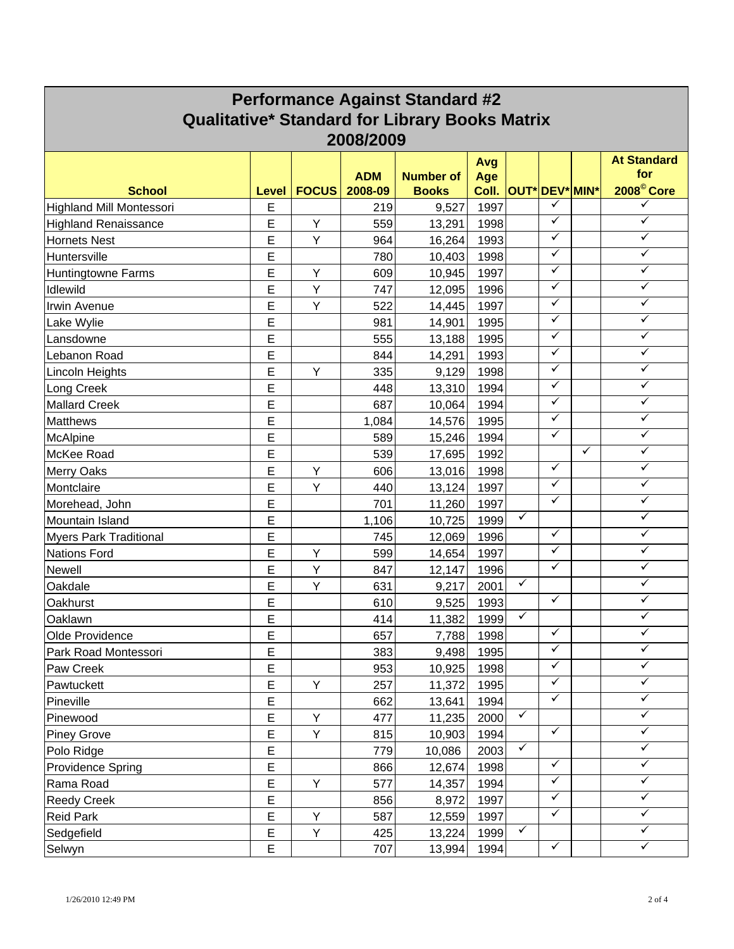| <b>Performance Against Standard #2</b>                |        |              |            |                  |              |              |                       |              |                        |
|-------------------------------------------------------|--------|--------------|------------|------------------|--------------|--------------|-----------------------|--------------|------------------------|
| <b>Qualitative* Standard for Library Books Matrix</b> |        |              |            |                  |              |              |                       |              |                        |
| 2008/2009                                             |        |              |            |                  |              |              |                       |              |                        |
|                                                       |        |              |            |                  | Avg          |              |                       |              | <b>At Standard</b>     |
|                                                       |        |              | <b>ADM</b> | <b>Number of</b> | Age          |              |                       |              | for                    |
| <b>School</b>                                         | Level  | <b>FOCUS</b> | 2008-09    | <b>Books</b>     | Coll.        |              | <b>OUT* DEV* MIN*</b> |              | 2008 <sup>©</sup> Core |
| <b>Highland Mill Montessori</b>                       | E      |              | 219        | 9,527            | 1997         |              | ✓                     |              | ✓                      |
| <b>Highland Renaissance</b>                           | E      | Υ            | 559        | 13,291           | 1998         |              | ✓                     |              | $\checkmark$           |
| Hornets Nest                                          | E      | Y            | 964        | 16,264           | 1993         |              | ✓                     |              | ✓                      |
| Huntersville                                          | Ε      |              | 780        | 10,403           | 1998         |              | ✓                     |              | ✓                      |
| <b>Huntingtowne Farms</b>                             | Е      | Y            | 609        | 10,945           | 1997         |              | ✓                     |              | ✓                      |
| Idlewild                                              | E      | Y            | 747        | 12,095           | 1996         |              | ✓                     |              | ✓                      |
| Irwin Avenue                                          | Ε      | Υ            | 522        | 14,445           | 1997         |              | ✓                     |              | ✓                      |
| Lake Wylie                                            | E      |              | 981        | 14,901           | 1995         |              | ✓                     |              | ✓                      |
| Lansdowne                                             | E      |              | 555        | 13,188           | 1995         |              | ✓                     |              | $\checkmark$           |
| Lebanon Road                                          | Ε      |              | 844        | 14,291           | 1993         |              | ✓                     |              | ✓                      |
| Lincoln Heights                                       | E      | Y            | 335        | 9,129            | 1998         |              | ✓<br>✓                |              | ✓<br>✓                 |
| Long Creek                                            | E      |              | 448        | 13,310           | 1994         |              | ✓                     |              | $\checkmark$           |
| <b>Mallard Creek</b>                                  | E      |              | 687        | 10,064           | 1994         |              | ✓                     |              | ✓                      |
| <b>Matthews</b>                                       | E      |              | 1,084      | 14,576           | 1995         |              | ✓                     |              | ✓                      |
| McAlpine                                              | E      |              | 589        | 15,246           | 1994         |              |                       | $\checkmark$ | ✓                      |
| McKee Road                                            | Ε      |              | 539        | 17,695           | 1992         |              | ✓                     |              | ✓                      |
| <b>Merry Oaks</b>                                     | E      | Υ            | 606        | 13,016           | 1998         |              | ✓                     |              | ✓                      |
| Montclaire                                            | E      | Y            | 440        | 13,124           | 1997         |              | ✓                     |              | ✓                      |
| Morehead, John                                        | E      |              | 701        | 11,260           | 1997         | $\checkmark$ |                       |              | ✓                      |
| Mountain Island                                       | E      |              | 1,106      | 10,725           | 1999         |              | ✓                     |              | ✓                      |
| <b>Myers Park Traditional</b>                         | E      |              | 745        | 12,069           | 1996         |              | ✓                     |              | ✓                      |
| <b>Nations Ford</b>                                   | Е      | Υ            | 599        | 14,654           | 1997         |              | ✓                     |              | $\checkmark$           |
| Newell                                                | E      | Υ            | 847        | 12,147           | 1996         | $\checkmark$ |                       |              | ✓                      |
| Oakdale                                               | Ε      | Υ            | 631        | 9,217            | 2001         |              | ✓                     |              | ✓                      |
| Oakhurst                                              | Ε<br>E |              | 610<br>414 | 9,525            | 1993         | ✓            |                       |              | ✓                      |
| Oaklawn<br>Olde Providence                            |        |              | 657        | 11,382           | 1999<br>1998 |              | ✓                     |              | ✓                      |
| Park Road Montessori                                  | Е<br>Е |              | 383        | 7,788<br>9,498   | 1995         |              | ✓                     |              | ✓                      |
|                                                       | Е      |              | 953        | 10,925           | 1998         |              | ✓                     |              | ✓                      |
| Paw Creek<br>Pawtuckett                               | E      | Y            | 257        | 11,372           | 1995         |              | ✓                     |              | $\checkmark$           |
| Pineville                                             | Ε      |              | 662        | 13,641           | 1994         |              | ✓                     |              | $\checkmark$           |
| Pinewood                                              | E      | Y            | 477        | 11,235           | 2000         | ✓            |                       |              | ✓                      |
| <b>Piney Grove</b>                                    | E      | Υ            | 815        | 10,903           | 1994         |              | ✓                     |              | $\sqrt{}$              |
| Polo Ridge                                            | E      |              | 779        | 10,086           | 2003         | $\checkmark$ |                       |              | ✓                      |
| <b>Providence Spring</b>                              | Ε      |              | 866        | 12,674           | 1998         |              | ✓                     |              | ✓                      |
| Rama Road                                             | E      | Y            | 577        | 14,357           | 1994         |              | $\checkmark$          |              | $\checkmark$           |
| <b>Reedy Creek</b>                                    | Ė      |              | 856        | 8,972            | 1997         |              | ✓                     |              | $\checkmark$           |
| <b>Reid Park</b>                                      | E      | Υ            | 587        | 12,559           | 1997         |              | ✓                     |              | ✓                      |
| Sedgefield                                            | E      | Υ            | 425        | 13,224           | 1999         | $\checkmark$ |                       |              | ✓                      |
| Selwyn                                                | E      |              | 707        | 13,994           | 1994         |              | $\checkmark$          |              | $\checkmark$           |
|                                                       |        |              |            |                  |              |              |                       |              |                        |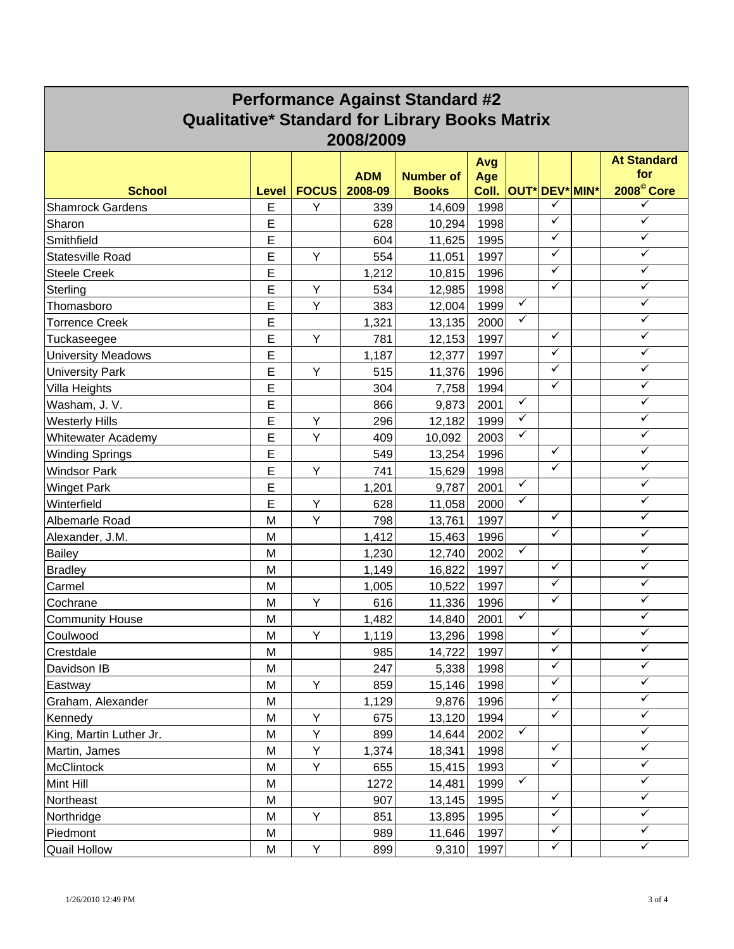| <b>Performance Against Standard #2</b>                |       |              |            |                  |       |              |                       |  |                         |
|-------------------------------------------------------|-------|--------------|------------|------------------|-------|--------------|-----------------------|--|-------------------------|
| <b>Qualitative* Standard for Library Books Matrix</b> |       |              |            |                  |       |              |                       |  |                         |
| 2008/2009                                             |       |              |            |                  |       |              |                       |  |                         |
|                                                       |       |              |            |                  | Avg   |              |                       |  | <b>At Standard</b>      |
|                                                       |       |              | <b>ADM</b> | <b>Number of</b> | Age   |              |                       |  | for                     |
| <b>School</b>                                         | Level | <b>FOCUS</b> | 2008-09    | <b>Books</b>     | Coll. |              | <b>OUT* DEV* MIN*</b> |  | 2008 <sup>©</sup> Core  |
| <b>Shamrock Gardens</b>                               | E     | Y            | 339        | 14,609           | 1998  |              | ✓                     |  | ✓                       |
| Sharon                                                | E     |              | 628        | 10,294           | 1998  |              | ✓                     |  | $\checkmark$            |
| Smithfield                                            | E     |              | 604        | 11,625           | 1995  |              | ✓                     |  | ✓                       |
| <b>Statesville Road</b>                               | E     | Y            | 554        | 11,051           | 1997  |              | ✓                     |  | ✓                       |
| <b>Steele Creek</b>                                   | Ε     |              | 1,212      | 10,815           | 1996  |              | ✓                     |  | ✓                       |
| Sterling                                              | E     | Υ            | 534        | 12,985           | 1998  |              | ✓                     |  | $\checkmark$            |
| Thomasboro                                            | E     | Υ            | 383        | 12,004           | 1999  | $\checkmark$ |                       |  | ✓                       |
| <b>Torrence Creek</b>                                 | E     |              | 1,321      | 13,135           | 2000  | ✓            |                       |  | ✓                       |
| Tuckaseegee                                           | E     | Y            | 781        | 12,153           | 1997  |              | ✓                     |  | $\checkmark$            |
| <b>University Meadows</b>                             | Е     |              | 1,187      | 12,377           | 1997  |              | ✓                     |  | ✓                       |
| <b>University Park</b>                                | E     | Y            | 515        | 11,376           | 1996  |              | ✓                     |  | $\checkmark$            |
| Villa Heights                                         | E     |              | 304        | 7,758            | 1994  |              | ✓                     |  | ✓                       |
| Washam, J. V.                                         | E     |              | 866        | 9,873            | 2001  | ✓            |                       |  | $\overline{\checkmark}$ |
| <b>Westerly Hills</b>                                 | E     | Υ            | 296        | 12,182           | 1999  | ✓            |                       |  | ✓                       |
| <b>Whitewater Academy</b>                             | E     | Y            | 409        | 10,092           | 2003  | $\checkmark$ |                       |  | ✓                       |
| Winding Springs                                       | E     |              | 549        | 13,254           | 1996  |              | ✓                     |  | ✓                       |
| <b>Windsor Park</b>                                   | E     | Υ            | 741        | 15,629           | 1998  |              | ✓                     |  | ✓                       |
| <b>Winget Park</b>                                    | E     |              | 1,201      | 9,787            | 2001  | ✓            |                       |  | $\checkmark$            |
| Winterfield                                           | E     | Y            | 628        | 11,058           | 2000  | ✓            |                       |  | ✓                       |
| Albemarle Road                                        | M     | Y            | 798        | 13,761           | 1997  |              | ✓                     |  | $\checkmark$            |
| Alexander, J.M.                                       | M     |              | 1,412      | 15,463           | 1996  |              | ✓                     |  | ✓                       |
| <b>Bailey</b>                                         | M     |              | 1,230      | 12,740           | 2002  | ✓            |                       |  | ✓                       |
| <b>Bradley</b>                                        | M     |              | 1,149      | 16,822           | 1997  |              | ✓                     |  | $\checkmark$            |
| Carmel                                                | M     |              | 1,005      | 10,522           | 1997  |              | ✓                     |  | ✓                       |
| Cochrane                                              | M     | Υ            | 616        | 11,336           | 1996  |              | ✓                     |  | ✓                       |
| <b>Community House</b>                                | M     |              | 1,482      | 14,840           | 2001  | ✓            |                       |  | $\checkmark$            |
| Coulwood                                              | M     | Y            | 1,119      | 13,296           | 1998  |              | ✓                     |  | ✓                       |
| Crestdale                                             | M     |              | 985        | 14,722           | 1997  |              | ✓                     |  | ✓                       |
| Davidson IB                                           | M     |              | 247        | 5,338            | 1998  |              | $\checkmark$          |  | ✓                       |
| Eastway                                               | M     | Y            | 859        | 15,146           | 1998  |              | ✓                     |  | $\checkmark$            |
| Graham, Alexander                                     | M     |              | 1,129      | 9,876            | 1996  |              | $\checkmark$          |  | $\checkmark$            |
| Kennedy                                               | M     | Υ            | 675        | 13,120           | 1994  |              | $\checkmark$          |  | ✓                       |
| King, Martin Luther Jr.                               | M     | Υ            | 899        | 14,644           | 2002  | $\checkmark$ |                       |  | $\checkmark$            |
| Martin, James                                         | M     | Υ            | 1,374      | 18,341           | 1998  |              | $\checkmark$          |  | $\checkmark$            |
| <b>McClintock</b>                                     | M     | Υ            | 655        | 15,415           | 1993  |              | ✓                     |  | ✓                       |
| Mint Hill                                             | M     |              | 1272       | 14,481           | 1999  | $\checkmark$ |                       |  | $\checkmark$            |
| Northeast                                             | M     |              | 907        | 13,145           | 1995  |              | ✓                     |  | $\checkmark$            |
| Northridge                                            | M     | Y            | 851        | 13,895           | 1995  |              | ✓                     |  | $\checkmark$            |
| Piedmont                                              | M     |              | 989        | 11,646           | 1997  |              | $\checkmark$          |  | ✓                       |
| <b>Quail Hollow</b>                                   | M     | Υ            | 899        | 9,310            | 1997  |              | $\checkmark$          |  | $\checkmark$            |